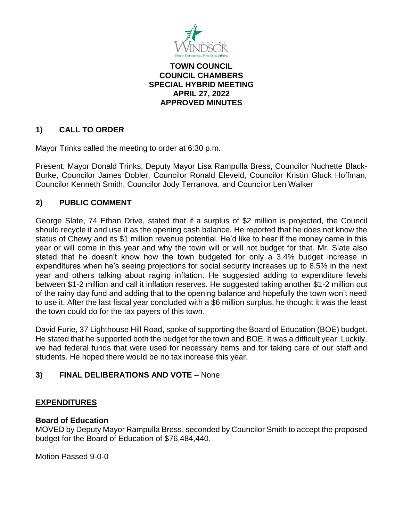

## **TOWN COUNCIL COUNCIL CHAMBERS SPECIAL HYBRID MEETING APRIL 27, 2022 APPROVED MINUTES**

# **1) CALL TO ORDER**

Mayor Trinks called the meeting to order at 6:30 p.m.

Present: Mayor Donald Trinks, Deputy Mayor Lisa Rampulla Bress, Councilor Nuchette Black-Burke, Councilor James Dobler, Councilor Ronald Eleveld, Councilor Kristin Gluck Hoffman, Councilor Kenneth Smith, Councilor Jody Terranova, and Councilor Len Walker

# **2) PUBLIC COMMENT**

George Slate, 74 Ethan Drive, stated that if a surplus of \$2 million is projected, the Council should recycle it and use it as the opening cash balance. He reported that he does not know the status of Chewy and its \$1 million revenue potential. He'd like to hear if the money came in this year or will come in this year and why the town will or will not budget for that. Mr. Slate also stated that he doesn't know how the town budgeted for only a 3.4% budget increase in expenditures when he's seeing projections for social security increases up to 8.5% in the next year and others talking about raging inflation. He suggested adding to expenditure levels between \$1-2 million and call it inflation reserves. He suggested taking another \$1-2 million out of the rainy day fund and adding that to the opening balance and hopefully the town won't need to use it. After the last fiscal year concluded with a \$6 million surplus, he thought it was the least the town could do for the tax payers of this town.

David Furie, 37 Lighthouse Hill Road, spoke of supporting the Board of Education (BOE) budget. He stated that he supported both the budget for the town and BOE. It was a difficult year. Luckily, we had federal funds that were used for necessary items and for taking care of our staff and students. He hoped there would be no tax increase this year.

# **3) FINAL DELIBERATIONS AND VOTE** – None

## **EXPENDITURES**

## **Board of Education**

MOVED by Deputy Mayor Rampulla Bress, seconded by Councilor Smith to accept the proposed budget for the Board of Education of \$76,484,440.

Motion Passed 9-0-0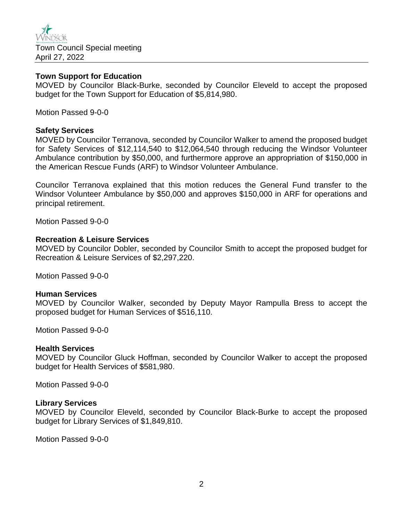

### **Town Support for Education**

MOVED by Councilor Black-Burke, seconded by Councilor Eleveld to accept the proposed budget for the Town Support for Education of \$5,814,980.

Motion Passed 9-0-0

#### **Safety Services**

MOVED by Councilor Terranova, seconded by Councilor Walker to amend the proposed budget for Safety Services of \$12,114,540 to \$12,064,540 through reducing the Windsor Volunteer Ambulance contribution by \$50,000, and furthermore approve an appropriation of \$150,000 in the American Rescue Funds (ARF) to Windsor Volunteer Ambulance.

Councilor Terranova explained that this motion reduces the General Fund transfer to the Windsor Volunteer Ambulance by \$50,000 and approves \$150,000 in ARF for operations and principal retirement.

Motion Passed 9-0-0

### **Recreation & Leisure Services**

MOVED by Councilor Dobler, seconded by Councilor Smith to accept the proposed budget for Recreation & Leisure Services of \$2,297,220.

Motion Passed 9-0-0

#### **Human Services**

MOVED by Councilor Walker, seconded by Deputy Mayor Rampulla Bress to accept the proposed budget for Human Services of \$516,110.

Motion Passed 9-0-0

#### **Health Services**

MOVED by Councilor Gluck Hoffman, seconded by Councilor Walker to accept the proposed budget for Health Services of \$581,980.

Motion Passed 9-0-0

#### **Library Services**

MOVED by Councilor Eleveld, seconded by Councilor Black-Burke to accept the proposed budget for Library Services of \$1,849,810.

Motion Passed 9-0-0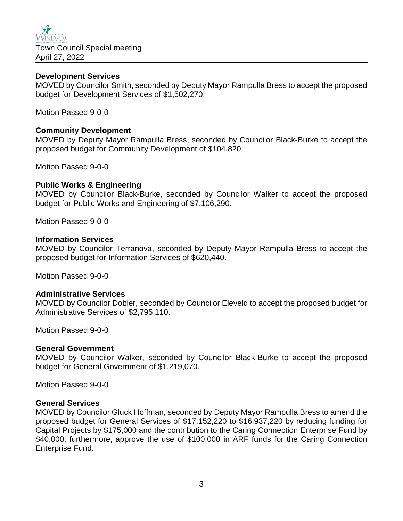

## **Development Services**

MOVED by Councilor Smith, seconded by Deputy Mayor Rampulla Bress to accept the proposed budget for Development Services of \$1,502,270.

Motion Passed 9-0-0

## **Community Development**

MOVED by Deputy Mayor Rampulla Bress, seconded by Councilor Black-Burke to accept the proposed budget for Community Development of \$104,820.

Motion Passed 9-0-0

## **Public Works & Engineering**

MOVED by Councilor Black-Burke, seconded by Councilor Walker to accept the proposed budget for Public Works and Engineering of \$7,106,290.

Motion Passed 9-0-0

### **Information Services**

MOVED by Councilor Terranova, seconded by Deputy Mayor Rampulla Bress to accept the proposed budget for Information Services of \$620,440.

Motion Passed 9-0-0

## **Administrative Services**

MOVED by Councilor Dobler, seconded by Councilor Eleveld to accept the proposed budget for Administrative Services of \$2,795,110.

Motion Passed 9-0-0

#### **General Government**

MOVED by Councilor Walker, seconded by Councilor Black-Burke to accept the proposed budget for General Government of \$1,219,070.

Motion Passed 9-0-0

## **General Services**

MOVED by Councilor Gluck Hoffman, seconded by Deputy Mayor Rampulla Bress to amend the proposed budget for General Services of \$17,152,220 to \$16,937,220 by reducing funding for Capital Projects by \$175,000 and the contribution to the Caring Connection Enterprise Fund by \$40,000; furthermore, approve the use of \$100,000 in ARF funds for the Caring Connection Enterprise Fund.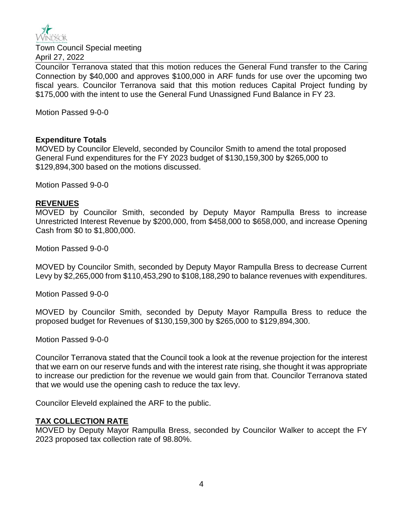

Town Council Special meeting April 27, 2022

Councilor Terranova stated that this motion reduces the General Fund transfer to the Caring Connection by \$40,000 and approves \$100,000 in ARF funds for use over the upcoming two fiscal years. Councilor Terranova said that this motion reduces Capital Project funding by \$175,000 with the intent to use the General Fund Unassigned Fund Balance in FY 23.

Motion Passed 9-0-0

## **Expenditure Totals**

MOVED by Councilor Eleveld, seconded by Councilor Smith to amend the total proposed General Fund expenditures for the FY 2023 budget of \$130,159,300 by \$265,000 to \$129,894,300 based on the motions discussed.

Motion Passed 9-0-0

## **REVENUES**

MOVED by Councilor Smith, seconded by Deputy Mayor Rampulla Bress to increase Unrestricted Interest Revenue by \$200,000, from \$458,000 to \$658,000, and increase Opening Cash from \$0 to \$1,800,000.

Motion Passed 9-0-0

MOVED by Councilor Smith, seconded by Deputy Mayor Rampulla Bress to decrease Current Levy by \$2,265,000 from \$110,453,290 to \$108,188,290 to balance revenues with expenditures.

Motion Passed 9-0-0

MOVED by Councilor Smith, seconded by Deputy Mayor Rampulla Bress to reduce the proposed budget for Revenues of \$130,159,300 by \$265,000 to \$129,894,300.

Motion Passed 9-0-0

Councilor Terranova stated that the Council took a look at the revenue projection for the interest that we earn on our reserve funds and with the interest rate rising, she thought it was appropriate to increase our prediction for the revenue we would gain from that. Councilor Terranova stated that we would use the opening cash to reduce the tax levy.

Councilor Eleveld explained the ARF to the public.

## **TAX COLLECTION RATE**

MOVED by Deputy Mayor Rampulla Bress, seconded by Councilor Walker to accept the FY 2023 proposed tax collection rate of 98.80%.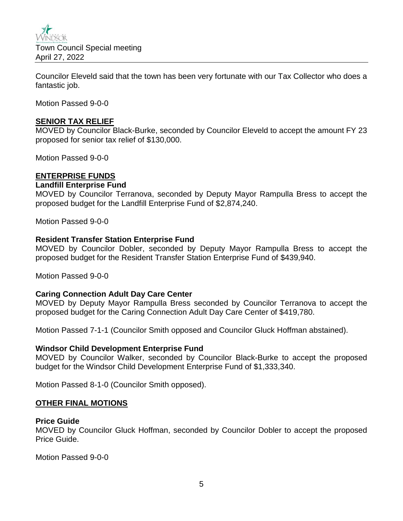

Councilor Eleveld said that the town has been very fortunate with our Tax Collector who does a fantastic job.

Motion Passed 9-0-0

## **SENIOR TAX RELIEF**

MOVED by Councilor Black-Burke, seconded by Councilor Eleveld to accept the amount FY 23 proposed for senior tax relief of \$130,000.

Motion Passed 9-0-0

## **ENTERPRISE FUNDS**

## **Landfill Enterprise Fund**

MOVED by Councilor Terranova, seconded by Deputy Mayor Rampulla Bress to accept the proposed budget for the Landfill Enterprise Fund of \$2,874,240.

Motion Passed 9-0-0

#### **Resident Transfer Station Enterprise Fund**

MOVED by Councilor Dobler, seconded by Deputy Mayor Rampulla Bress to accept the proposed budget for the Resident Transfer Station Enterprise Fund of \$439,940.

Motion Passed 9-0-0

## **Caring Connection Adult Day Care Center**

MOVED by Deputy Mayor Rampulla Bress seconded by Councilor Terranova to accept the proposed budget for the Caring Connection Adult Day Care Center of \$419,780.

Motion Passed 7-1-1 (Councilor Smith opposed and Councilor Gluck Hoffman abstained).

#### **Windsor Child Development Enterprise Fund**

MOVED by Councilor Walker, seconded by Councilor Black-Burke to accept the proposed budget for the Windsor Child Development Enterprise Fund of \$1,333,340.

Motion Passed 8-1-0 (Councilor Smith opposed).

#### **OTHER FINAL MOTIONS**

#### **Price Guide**

MOVED by Councilor Gluck Hoffman, seconded by Councilor Dobler to accept the proposed Price Guide.

Motion Passed 9-0-0